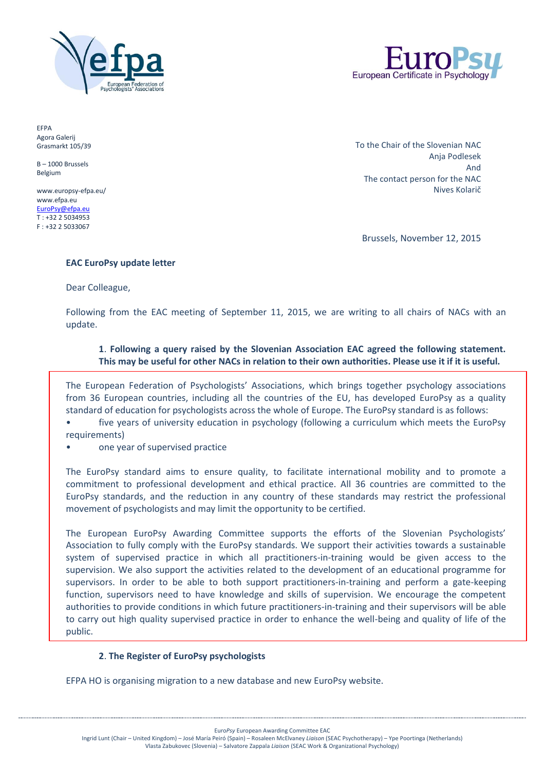



EFPA Agora Galerij Grasmarkt 105/39

B – 1000 Brussels Belgium

www.europsy-efpa.eu/ www.efpa.eu [EuroPsy@efpa.eu](mailto:EuroPsy@efpa.eu) T : +32 2 5034953 F : +32 2 5033067

To the Chair of the Slovenian NAC Anja Podlesek And The contact person for the NAC Nives Kolarič

Brussels, November 12, 2015

### **EAC EuroPsy update letter**

Dear Colleague,

Following from the EAC meeting of September 11, 2015, we are writing to all chairs of NACs with an update.

## **1**. **Following a query raised by the Slovenian Association EAC agreed the following statement. This may be useful for other NACs in relation to their own authorities. Please use it if it is useful.**

The European Federation of Psychologists' Associations, which brings together psychology associations from 36 European countries, including all the countries of the EU, has developed EuroPsy as a quality standard of education for psychologists across the whole of Europe. The EuroPsy standard is as follows:

• five years of university education in psychology (following a curriculum which meets the EuroPsy requirements)

• one year of supervised practice

The EuroPsy standard aims to ensure quality, to facilitate international mobility and to promote a commitment to professional development and ethical practice. All 36 countries are committed to the EuroPsy standards, and the reduction in any country of these standards may restrict the professional movement of psychologists and may limit the opportunity to be certified.

The European EuroPsy Awarding Committee supports the efforts of the Slovenian Psychologists' Association to fully comply with the EuroPsy standards. We support their activities towards a sustainable system of supervised practice in which all practitioners-in-training would be given access to the supervision. We also support the activities related to the development of an educational programme for supervisors. In order to be able to both support practitioners-in-training and perform a gate-keeping function, supervisors need to have knowledge and skills of supervision. We encourage the competent authorities to provide conditions in which future practitioners-in-training and their supervisors will be able to carry out high quality supervised practice in order to enhance the well-being and quality of life of the public.

# **2**. **The Register of EuroPsy psychologists**

EFPA HO is organising migration to a new database and new EuroPsy website.

Euro*Psy* European Awarding Committee EAC